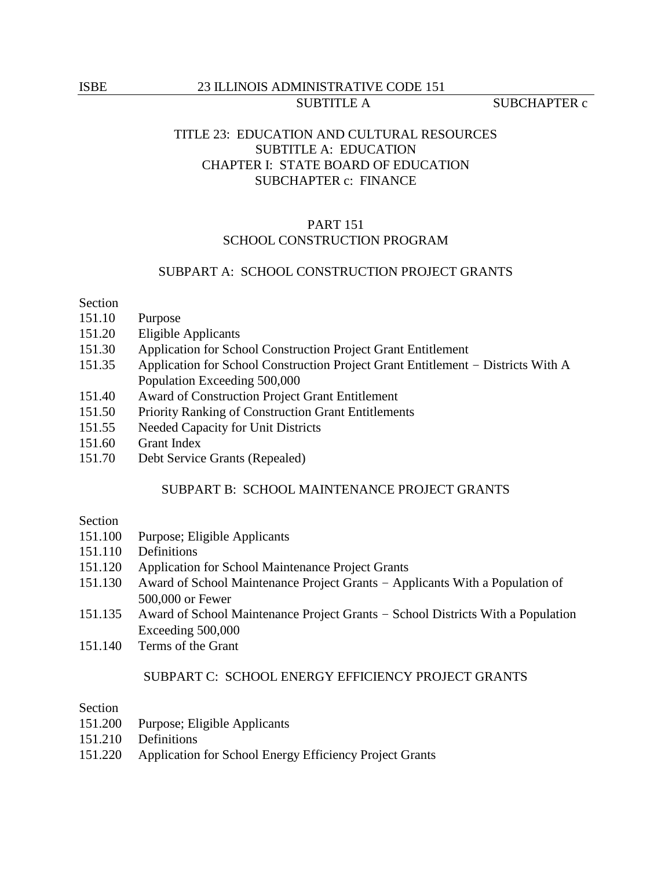## ISBE 23 ILLINOIS ADMINISTRATIVE CODE 151 SUBTITLE A SUBCHAPTER c

# TITLE 23: EDUCATION AND CULTURAL RESOURCES SUBTITLE A: EDUCATION CHAPTER I: STATE BOARD OF EDUCATION SUBCHAPTER c: FINANCE

# PART 151 SCHOOL CONSTRUCTION PROGRAM

## SUBPART A: SCHOOL CONSTRUCTION PROJECT GRANTS

#### Section

- 151.10 Purpose
- 151.20 Eligible Applicants
- 151.30 Application for School Construction Project Grant Entitlement
- 151.35 Application for School Construction Project Grant Entitlement Districts With A Population Exceeding 500,000
- 151.40 Award of Construction Project Grant Entitlement
- 151.50 Priority Ranking of Construction Grant Entitlements
- 151.55 Needed Capacity for Unit Districts
- 151.60 Grant Index
- 151.70 Debt Service Grants (Repealed)

### SUBPART B: SCHOOL MAINTENANCE PROJECT GRANTS

## Section

- 151.100 Purpose; Eligible Applicants
- 151.110 Definitions
- 151.120 Application for School Maintenance Project Grants
- 151.130 Award of School Maintenance Project Grants Applicants With a Population of 500,000 or Fewer
- 151.135 Award of School Maintenance Project Grants School Districts With a Population Exceeding 500,000
- 151.140 Terms of the Grant

## SUBPART C: SCHOOL ENERGY EFFICIENCY PROJECT GRANTS

### Section

- 151.200 Purpose; Eligible Applicants
- 151.210 Definitions
- 151.220 Application for School Energy Efficiency Project Grants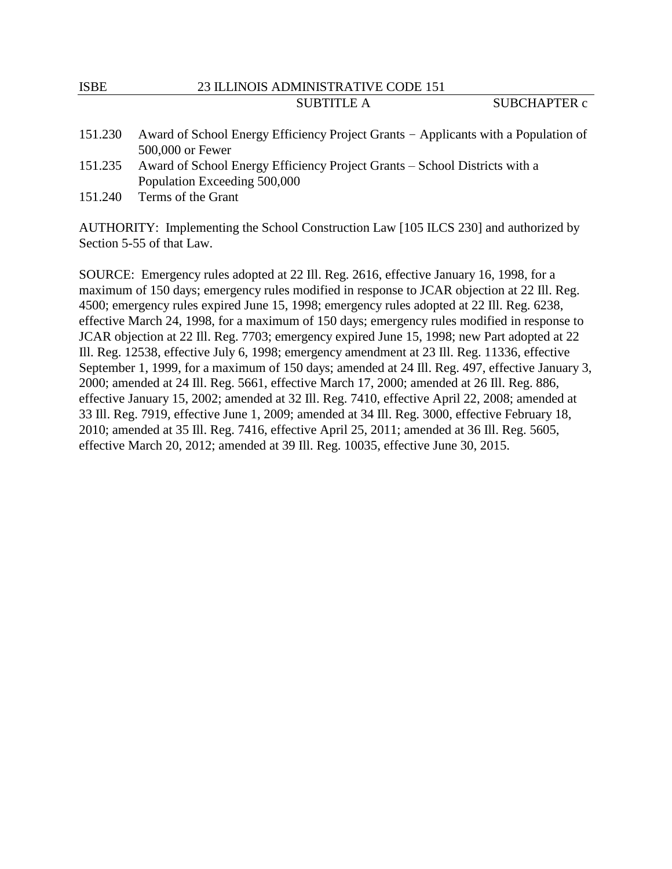# ISBE 23 ILLINOIS ADMINISTRATIVE CODE 151 SUBTITLE A SUBCHAPTER c

- 151.230 Award of School Energy Efficiency Project Grants Applicants with a Population of 500,000 or Fewer
- 151.235 Award of School Energy Efficiency Project Grants School Districts with a Population Exceeding 500,000
- 151.240 Terms of the Grant

AUTHORITY: Implementing the School Construction Law [105 ILCS 230] and authorized by Section 5-55 of that Law.

SOURCE: Emergency rules adopted at 22 Ill. Reg. 2616, effective January 16, 1998, for a maximum of 150 days; emergency rules modified in response to JCAR objection at 22 Ill. Reg. 4500; emergency rules expired June 15, 1998; emergency rules adopted at 22 Ill. Reg. 6238, effective March 24, 1998, for a maximum of 150 days; emergency rules modified in response to JCAR objection at 22 Ill. Reg. 7703; emergency expired June 15, 1998; new Part adopted at 22 Ill. Reg. 12538, effective July 6, 1998; emergency amendment at 23 Ill. Reg. 11336, effective September 1, 1999, for a maximum of 150 days; amended at 24 Ill. Reg. 497, effective January 3, 2000; amended at 24 Ill. Reg. 5661, effective March 17, 2000; amended at 26 Ill. Reg. 886, effective January 15, 2002; amended at 32 Ill. Reg. 7410, effective April 22, 2008; amended at 33 Ill. Reg. 7919, effective June 1, 2009; amended at 34 Ill. Reg. 3000, effective February 18, 2010; amended at 35 Ill. Reg. 7416, effective April 25, 2011; amended at 36 Ill. Reg. 5605, effective March 20, 2012; amended at 39 Ill. Reg. 10035, effective June 30, 2015.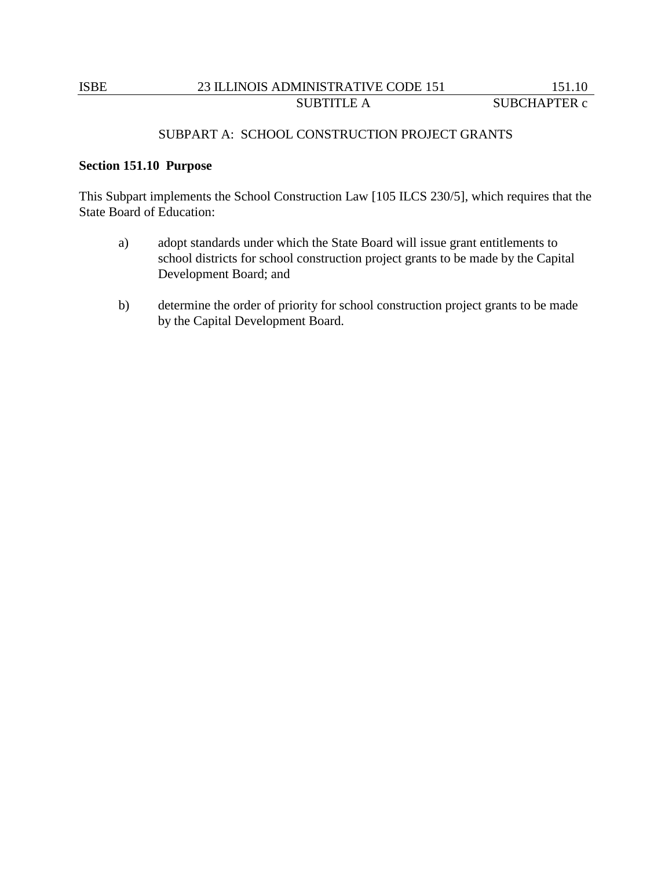### SUBPART A: SCHOOL CONSTRUCTION PROJECT GRANTS

## **Section 151.10 Purpose**

This Subpart implements the School Construction Law [105 ILCS 230/5], which requires that the State Board of Education:

- a) adopt standards under which the State Board will issue grant entitlements to school districts for school construction project grants to be made by the Capital Development Board; and
- b) determine the order of priority for school construction project grants to be made by the Capital Development Board.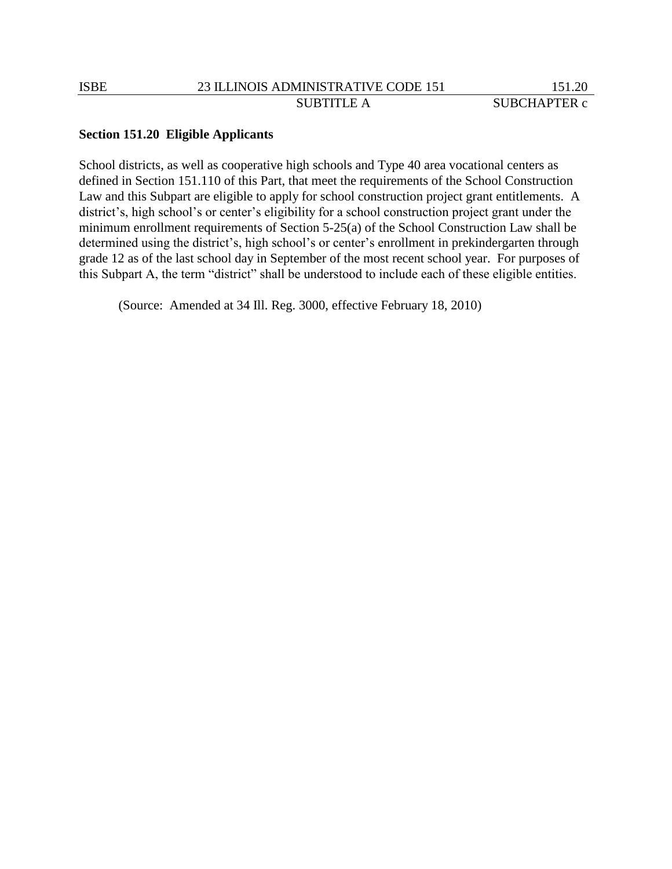### **Section 151.20 Eligible Applicants**

School districts, as well as cooperative high schools and Type 40 area vocational centers as defined in Section 151.110 of this Part, that meet the requirements of the School Construction Law and this Subpart are eligible to apply for school construction project grant entitlements. A district's, high school's or center's eligibility for a school construction project grant under the minimum enrollment requirements of Section 5-25(a) of the School Construction Law shall be determined using the district's, high school's or center's enrollment in prekindergarten through grade 12 as of the last school day in September of the most recent school year. For purposes of this Subpart A, the term "district" shall be understood to include each of these eligible entities.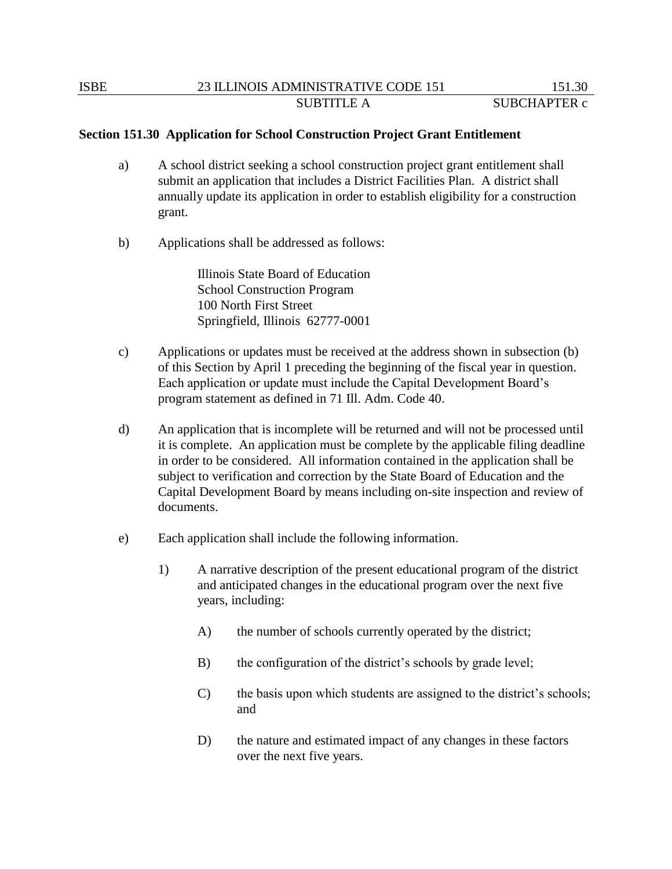### **Section 151.30 Application for School Construction Project Grant Entitlement**

- a) A school district seeking a school construction project grant entitlement shall submit an application that includes a District Facilities Plan. A district shall annually update its application in order to establish eligibility for a construction grant.
- b) Applications shall be addressed as follows:

Illinois State Board of Education School Construction Program 100 North First Street Springfield, Illinois 62777-0001

- c) Applications or updates must be received at the address shown in subsection (b) of this Section by April 1 preceding the beginning of the fiscal year in question. Each application or update must include the Capital Development Board's program statement as defined in 71 Ill. Adm. Code 40.
- d) An application that is incomplete will be returned and will not be processed until it is complete. An application must be complete by the applicable filing deadline in order to be considered. All information contained in the application shall be subject to verification and correction by the State Board of Education and the Capital Development Board by means including on-site inspection and review of documents.
- e) Each application shall include the following information.
	- 1) A narrative description of the present educational program of the district and anticipated changes in the educational program over the next five years, including:
		- A) the number of schools currently operated by the district;
		- B) the configuration of the district's schools by grade level;
		- C) the basis upon which students are assigned to the district's schools; and
		- D) the nature and estimated impact of any changes in these factors over the next five years.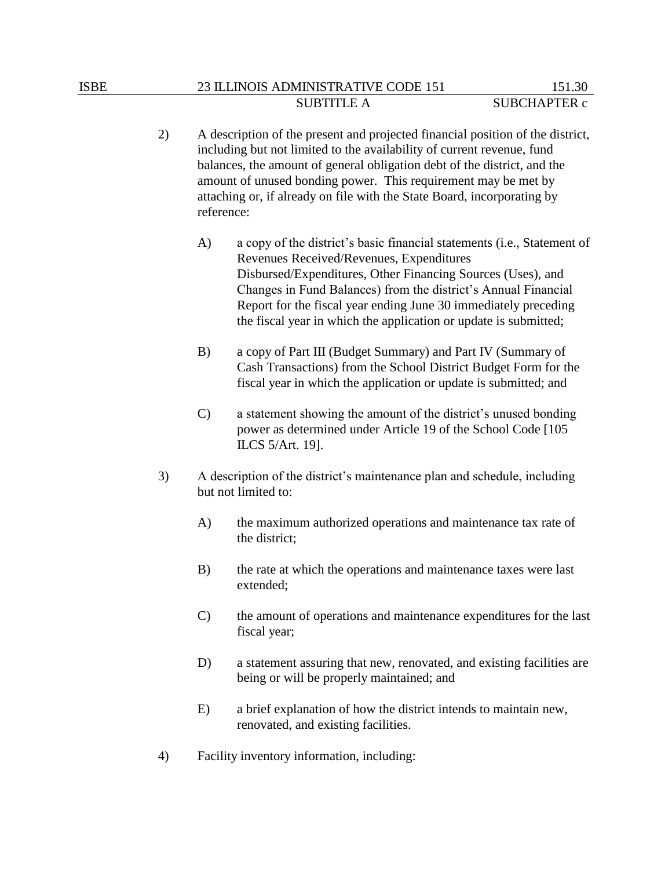- 2) A description of the present and projected financial position of the district, including but not limited to the availability of current revenue, fund balances, the amount of general obligation debt of the district, and the amount of unused bonding power. This requirement may be met by attaching or, if already on file with the State Board, incorporating by reference:
	- A) a copy of the district's basic financial statements (i.e., Statement of Revenues Received/Revenues, Expenditures Disbursed/Expenditures, Other Financing Sources (Uses), and Changes in Fund Balances) from the district's Annual Financial Report for the fiscal year ending June 30 immediately preceding the fiscal year in which the application or update is submitted;
	- B) a copy of Part III (Budget Summary) and Part IV (Summary of Cash Transactions) from the School District Budget Form for the fiscal year in which the application or update is submitted; and
	- C) a statement showing the amount of the district's unused bonding power as determined under Article 19 of the School Code [105 ILCS 5/Art. 19].
- 3) A description of the district's maintenance plan and schedule, including but not limited to:
	- A) the maximum authorized operations and maintenance tax rate of the district;
	- B) the rate at which the operations and maintenance taxes were last extended;
	- C) the amount of operations and maintenance expenditures for the last fiscal year;
	- D) a statement assuring that new, renovated, and existing facilities are being or will be properly maintained; and
	- E) a brief explanation of how the district intends to maintain new, renovated, and existing facilities.
- 4) Facility inventory information, including: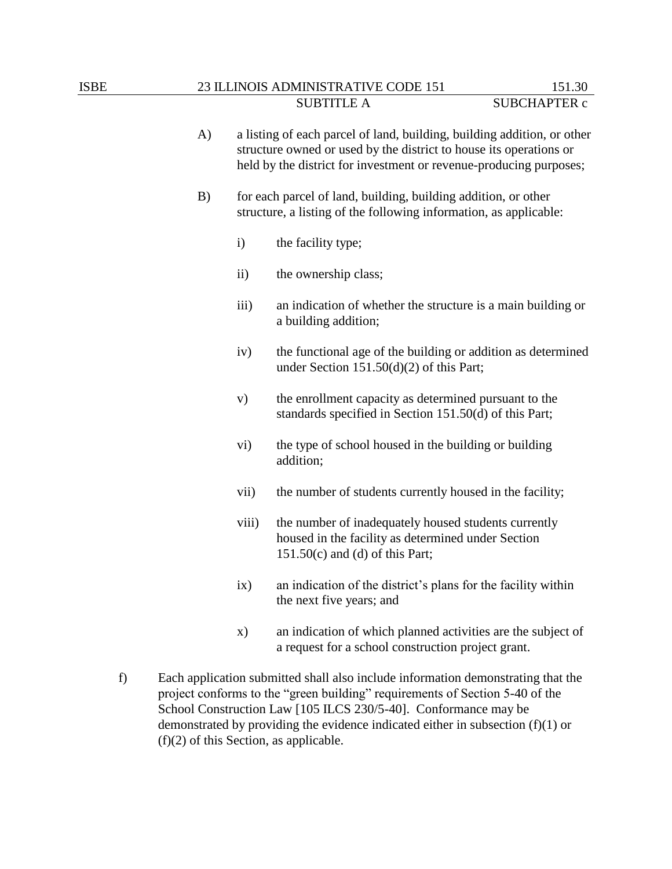| <b>ISBE</b> |    |                                                                                                                                     | 23 ILLINOIS ADMINISTRATIVE CODE 151                                                                                                                                                                                 | 151.30              |
|-------------|----|-------------------------------------------------------------------------------------------------------------------------------------|---------------------------------------------------------------------------------------------------------------------------------------------------------------------------------------------------------------------|---------------------|
|             |    |                                                                                                                                     | <b>SUBTITLE A</b>                                                                                                                                                                                                   | <b>SUBCHAPTER c</b> |
|             | A) |                                                                                                                                     | a listing of each parcel of land, building, building addition, or other<br>structure owned or used by the district to house its operations or<br>held by the district for investment or revenue-producing purposes; |                     |
|             | B) | for each parcel of land, building, building addition, or other<br>structure, a listing of the following information, as applicable: |                                                                                                                                                                                                                     |                     |
|             |    | $\mathbf{i}$                                                                                                                        | the facility type;                                                                                                                                                                                                  |                     |
|             |    | $\rm ii)$                                                                                                                           | the ownership class;                                                                                                                                                                                                |                     |
|             |    | iii)                                                                                                                                | an indication of whether the structure is a main building or<br>a building addition;                                                                                                                                |                     |
|             |    | iv)                                                                                                                                 | the functional age of the building or addition as determined<br>under Section $151.50(d)(2)$ of this Part;                                                                                                          |                     |
|             |    | V)                                                                                                                                  | the enrollment capacity as determined pursuant to the<br>standards specified in Section 151.50(d) of this Part;                                                                                                     |                     |
|             |    | $\mathbf{vi})$                                                                                                                      | the type of school housed in the building or building<br>addition;                                                                                                                                                  |                     |
|             |    | vii)                                                                                                                                | the number of students currently housed in the facility;                                                                                                                                                            |                     |
|             |    | viii)                                                                                                                               | the number of inadequately housed students currently<br>housed in the facility as determined under Section<br>$151.50(c)$ and (d) of this Part;                                                                     |                     |

- ix) an indication of the district's plans for the facility within the next five years; and
- x) an indication of which planned activities are the subject of a request for a school construction project grant.
- f) Each application submitted shall also include information demonstrating that the project conforms to the "green building" requirements of Section 5-40 of the School Construction Law [105 ILCS 230/5-40]. Conformance may be demonstrated by providing the evidence indicated either in subsection (f)(1) or (f)(2) of this Section, as applicable.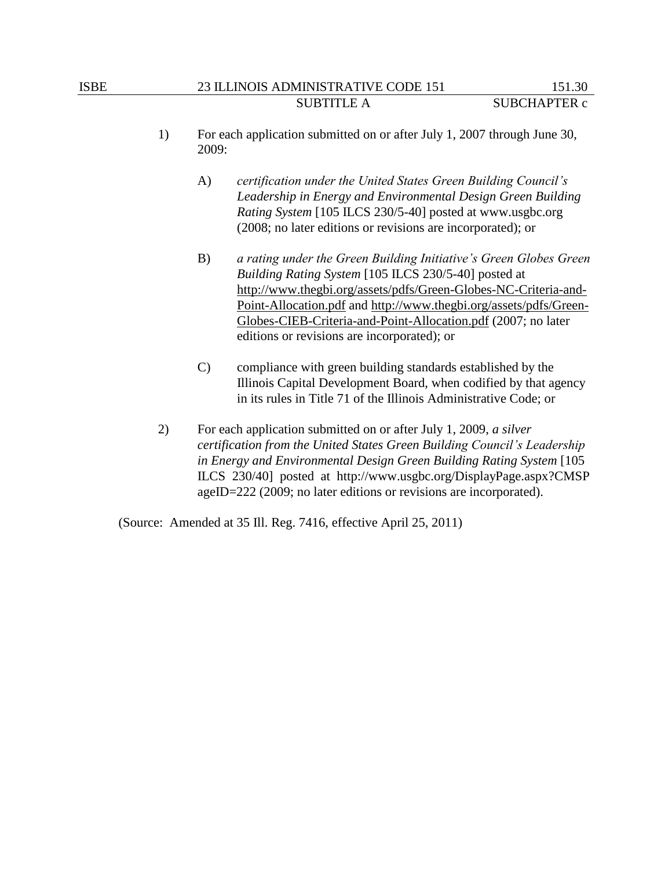- 1) For each application submitted on or after July 1, 2007 through June 30, 2009:
	- A) *certification under the United States Green Building Council's Leadership in Energy and Environmental Design Green Building Rating System* [105 ILCS 230/5-40] posted at www.usgbc.org (2008; no later editions or revisions are incorporated); or
	- B) *a rating under the Green Building Initiative's Green Globes Green Building Rating System* [105 ILCS 230/5-40] posted at [http://www.thegbi.org/assets/pdfs/Green-Globes-NC-Criteria-and-](http://www.thegbi.org/assets/pdfs/Green-Globes-NC-Criteria-and-Point-Allocation.pdf)[Point-Allocation.pdf](http://www.thegbi.org/assets/pdfs/Green-Globes-NC-Criteria-and-Point-Allocation.pdf) and [http://www.thegbi.org/assets/pdfs/Green-](http://www.thegbi.org/assets/pdfs/Green-Globes-CIEB-Criteria-and-Point-Allocation.pdf)[Globes-CIEB-Criteria-and-Point-Allocation.pdf](http://www.thegbi.org/assets/pdfs/Green-Globes-CIEB-Criteria-and-Point-Allocation.pdf) (2007; no later editions or revisions are incorporated); or
	- C) compliance with green building standards established by the Illinois Capital Development Board, when codified by that agency in its rules in Title 71 of the Illinois Administrative Code; or
- 2) For each application submitted on or after July 1, 2009, *a silver certification from the United States Green Building Council's Leadership in Energy and Environmental Design Green Building Rating System* [105 ILCS 230/40] posted at http://www.usgbc.org/DisplayPage.aspx?CMSP ageID=222 (2009; no later editions or revisions are incorporated).

(Source: Amended at 35 Ill. Reg. 7416, effective April 25, 2011)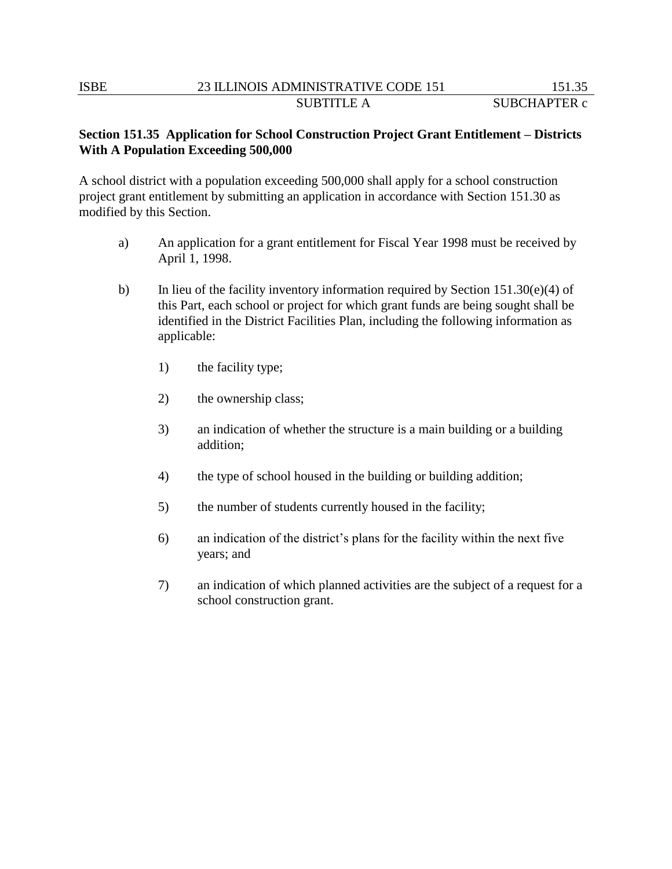# **Section 151.35 Application for School Construction Project Grant Entitlement – Districts With A Population Exceeding 500,000**

A school district with a population exceeding 500,000 shall apply for a school construction project grant entitlement by submitting an application in accordance with Section 151.30 as modified by this Section.

- a) An application for a grant entitlement for Fiscal Year 1998 must be received by April 1, 1998.
- b) In lieu of the facility inventory information required by Section  $151.30(e)(4)$  of this Part, each school or project for which grant funds are being sought shall be identified in the District Facilities Plan, including the following information as applicable:
	- 1) the facility type;
	- 2) the ownership class;
	- 3) an indication of whether the structure is a main building or a building addition;
	- 4) the type of school housed in the building or building addition;
	- 5) the number of students currently housed in the facility;
	- 6) an indication of the district's plans for the facility within the next five years; and
	- 7) an indication of which planned activities are the subject of a request for a school construction grant.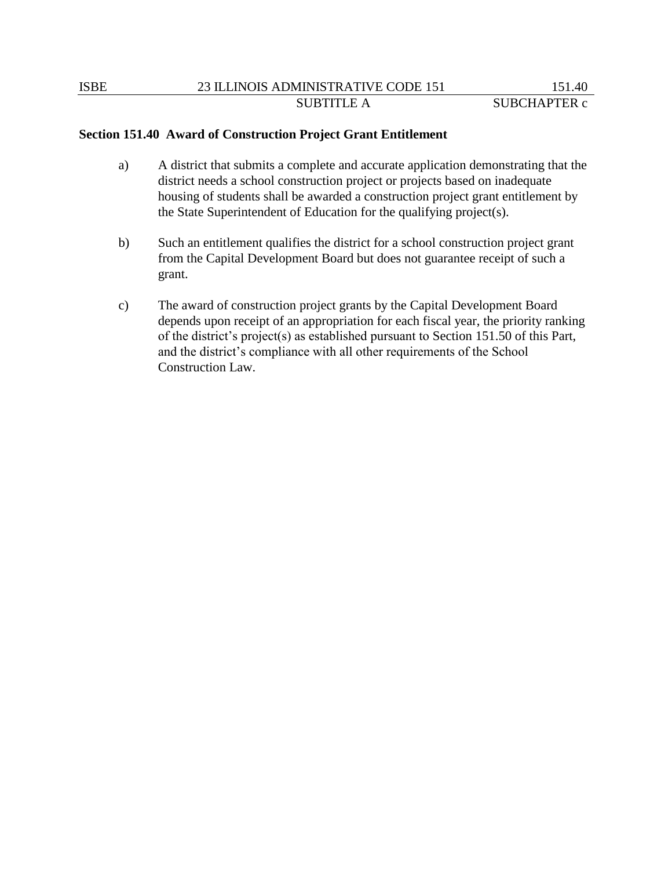# **Section 151.40 Award of Construction Project Grant Entitlement**

- a) A district that submits a complete and accurate application demonstrating that the district needs a school construction project or projects based on inadequate housing of students shall be awarded a construction project grant entitlement by the State Superintendent of Education for the qualifying project(s).
- b) Such an entitlement qualifies the district for a school construction project grant from the Capital Development Board but does not guarantee receipt of such a grant.
- c) The award of construction project grants by the Capital Development Board depends upon receipt of an appropriation for each fiscal year, the priority ranking of the district's project(s) as established pursuant to Section 151.50 of this Part, and the district's compliance with all other requirements of the School Construction Law.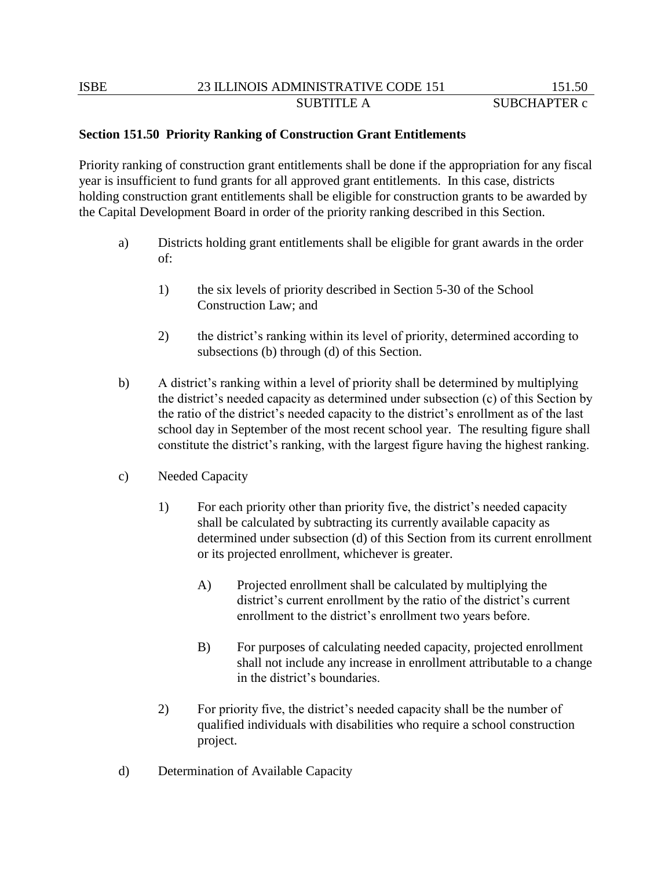## **Section 151.50 Priority Ranking of Construction Grant Entitlements**

Priority ranking of construction grant entitlements shall be done if the appropriation for any fiscal year is insufficient to fund grants for all approved grant entitlements. In this case, districts holding construction grant entitlements shall be eligible for construction grants to be awarded by the Capital Development Board in order of the priority ranking described in this Section.

- a) Districts holding grant entitlements shall be eligible for grant awards in the order of:
	- 1) the six levels of priority described in Section 5-30 of the School Construction Law; and
	- 2) the district's ranking within its level of priority, determined according to subsections (b) through (d) of this Section.
- b) A district's ranking within a level of priority shall be determined by multiplying the district's needed capacity as determined under subsection (c) of this Section by the ratio of the district's needed capacity to the district's enrollment as of the last school day in September of the most recent school year. The resulting figure shall constitute the district's ranking, with the largest figure having the highest ranking.
- c) Needed Capacity
	- 1) For each priority other than priority five, the district's needed capacity shall be calculated by subtracting its currently available capacity as determined under subsection (d) of this Section from its current enrollment or its projected enrollment, whichever is greater.
		- A) Projected enrollment shall be calculated by multiplying the district's current enrollment by the ratio of the district's current enrollment to the district's enrollment two years before.
		- B) For purposes of calculating needed capacity, projected enrollment shall not include any increase in enrollment attributable to a change in the district's boundaries.
	- 2) For priority five, the district's needed capacity shall be the number of qualified individuals with disabilities who require a school construction project.
- d) Determination of Available Capacity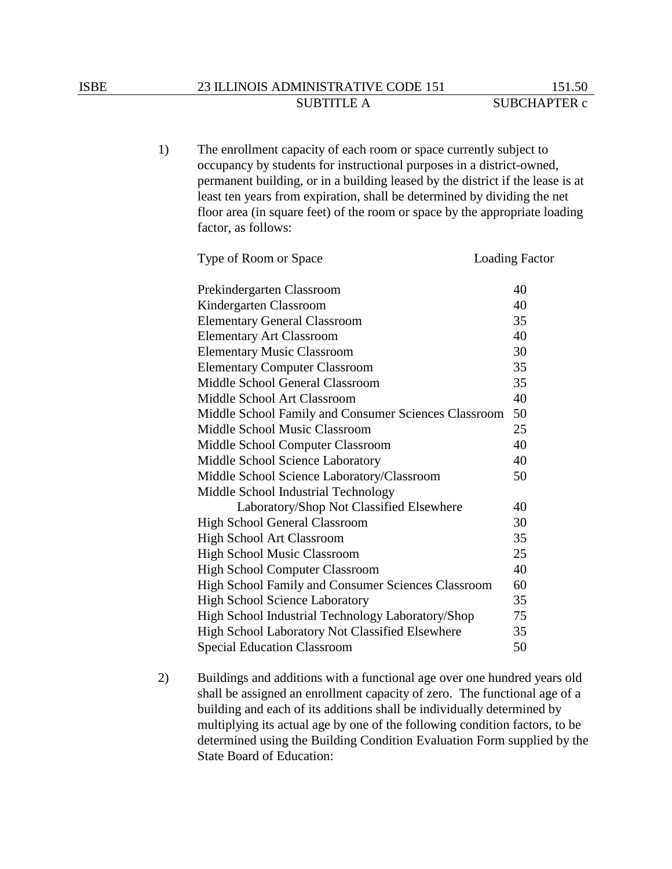## ISBE 23 ILLINOIS ADMINISTRATIVE CODE 151 151.50 SUBTITLE A SUBCHAPTER c

1) The enrollment capacity of each room or space currently subject to occupancy by students for instructional purposes in a district-owned, permanent building, or in a building leased by the district if the lease is at least ten years from expiration, shall be determined by dividing the net floor area (in square feet) of the room or space by the appropriate loading factor, as follows:

| Type of Room or Space                                | <b>Loading Factor</b> |
|------------------------------------------------------|-----------------------|
| Prekindergarten Classroom                            | 40                    |
| Kindergarten Classroom                               | 40                    |
| <b>Elementary General Classroom</b>                  | 35                    |
| <b>Elementary Art Classroom</b>                      | 40                    |
| <b>Elementary Music Classroom</b>                    | 30                    |
| <b>Elementary Computer Classroom</b>                 | 35                    |
| Middle School General Classroom                      | 35                    |
| Middle School Art Classroom                          | 40                    |
| Middle School Family and Consumer Sciences Classroom | 50                    |
| Middle School Music Classroom                        | 25                    |
| Middle School Computer Classroom                     | 40                    |
| Middle School Science Laboratory                     | 40                    |
| Middle School Science Laboratory/Classroom           | 50                    |
| Middle School Industrial Technology                  |                       |
| Laboratory/Shop Not Classified Elsewhere             | 40                    |
| <b>High School General Classroom</b>                 | 30                    |
| <b>High School Art Classroom</b>                     | 35                    |
| <b>High School Music Classroom</b>                   | 25                    |
| <b>High School Computer Classroom</b>                | 40                    |
| High School Family and Consumer Sciences Classroom   | 60                    |
| <b>High School Science Laboratory</b>                | 35                    |
| High School Industrial Technology Laboratory/Shop    | 75                    |
| High School Laboratory Not Classified Elsewhere      | 35                    |
| <b>Special Education Classroom</b>                   | 50                    |

2) Buildings and additions with a functional age over one hundred years old shall be assigned an enrollment capacity of zero. The functional age of a building and each of its additions shall be individually determined by multiplying its actual age by one of the following condition factors, to be determined using the Building Condition Evaluation Form supplied by the State Board of Education: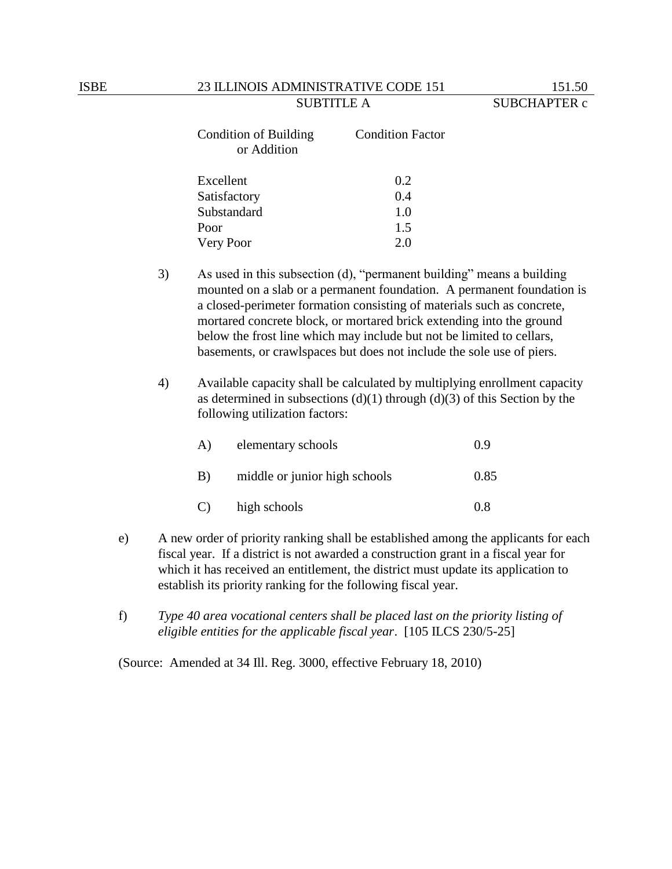| Condition of Building<br>or Addition | <b>Condition Factor</b> |  |
|--------------------------------------|-------------------------|--|
| Excellent                            | 0.2                     |  |
| Satisfactory                         | 0.4                     |  |
| Substandard                          | 1.0                     |  |
| Poor                                 | 1.5                     |  |
| Very Poor                            | 2.0                     |  |

- 3) As used in this subsection (d), "permanent building" means a building mounted on a slab or a permanent foundation. A permanent foundation is a closed-perimeter formation consisting of materials such as concrete, mortared concrete block, or mortared brick extending into the ground below the frost line which may include but not be limited to cellars, basements, or crawlspaces but does not include the sole use of piers.
- 4) Available capacity shall be calculated by multiplying enrollment capacity as determined in subsections  $(d)(1)$  through  $(d)(3)$  of this Section by the following utilization factors:

| A) | elementary schools            | 0.9  |
|----|-------------------------------|------|
| B) | middle or junior high schools | 0.85 |
| C) | high schools                  | 0 X  |

- e) A new order of priority ranking shall be established among the applicants for each fiscal year. If a district is not awarded a construction grant in a fiscal year for which it has received an entitlement, the district must update its application to establish its priority ranking for the following fiscal year.
- f) *Type 40 area vocational centers shall be placed last on the priority listing of eligible entities for the applicable fiscal year*. [105 ILCS 230/5-25]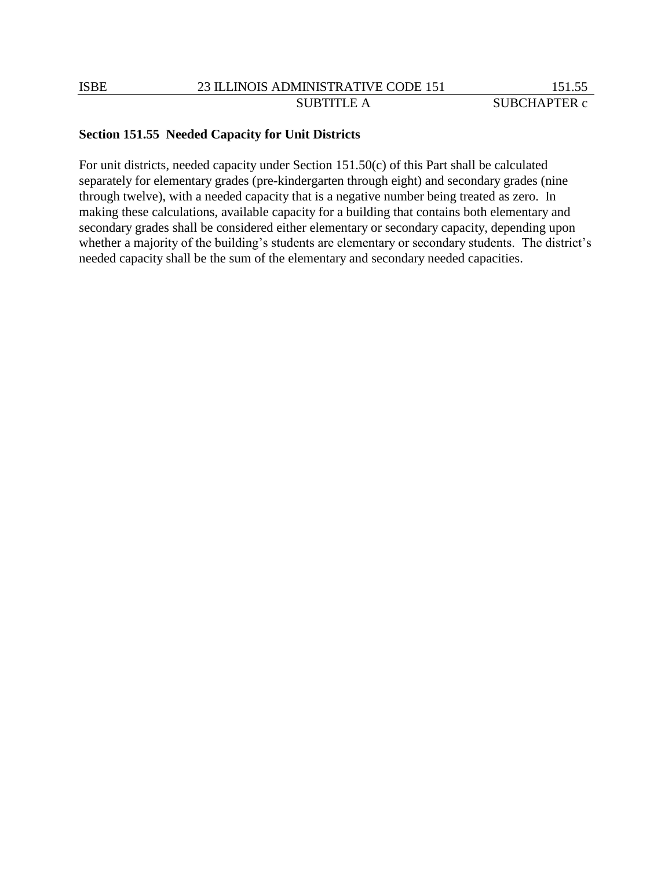## **Section 151.55 Needed Capacity for Unit Districts**

For unit districts, needed capacity under Section 151.50(c) of this Part shall be calculated separately for elementary grades (pre-kindergarten through eight) and secondary grades (nine through twelve), with a needed capacity that is a negative number being treated as zero. In making these calculations, available capacity for a building that contains both elementary and secondary grades shall be considered either elementary or secondary capacity, depending upon whether a majority of the building's students are elementary or secondary students. The district's needed capacity shall be the sum of the elementary and secondary needed capacities.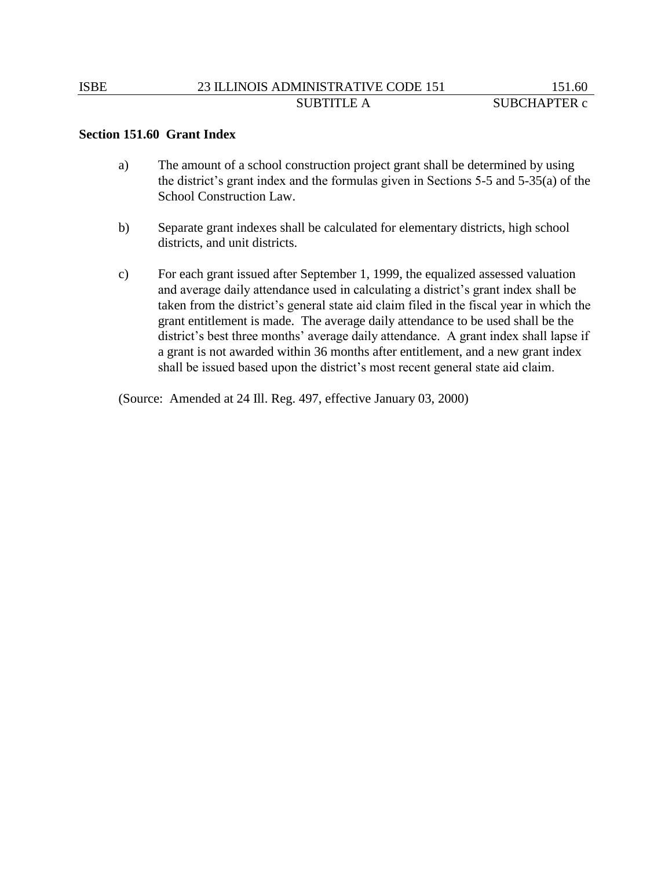## ISBE 23 ILLINOIS ADMINISTRATIVE CODE 151 151.60 SUBTITLE A SUBCHAPTER c

### **Section 151.60 Grant Index**

- a) The amount of a school construction project grant shall be determined by using the district's grant index and the formulas given in Sections 5-5 and 5-35(a) of the School Construction Law.
- b) Separate grant indexes shall be calculated for elementary districts, high school districts, and unit districts.
- c) For each grant issued after September 1, 1999, the equalized assessed valuation and average daily attendance used in calculating a district's grant index shall be taken from the district's general state aid claim filed in the fiscal year in which the grant entitlement is made. The average daily attendance to be used shall be the district's best three months' average daily attendance. A grant index shall lapse if a grant is not awarded within 36 months after entitlement, and a new grant index shall be issued based upon the district's most recent general state aid claim.

(Source: Amended at 24 Ill. Reg. 497, effective January 03, 2000)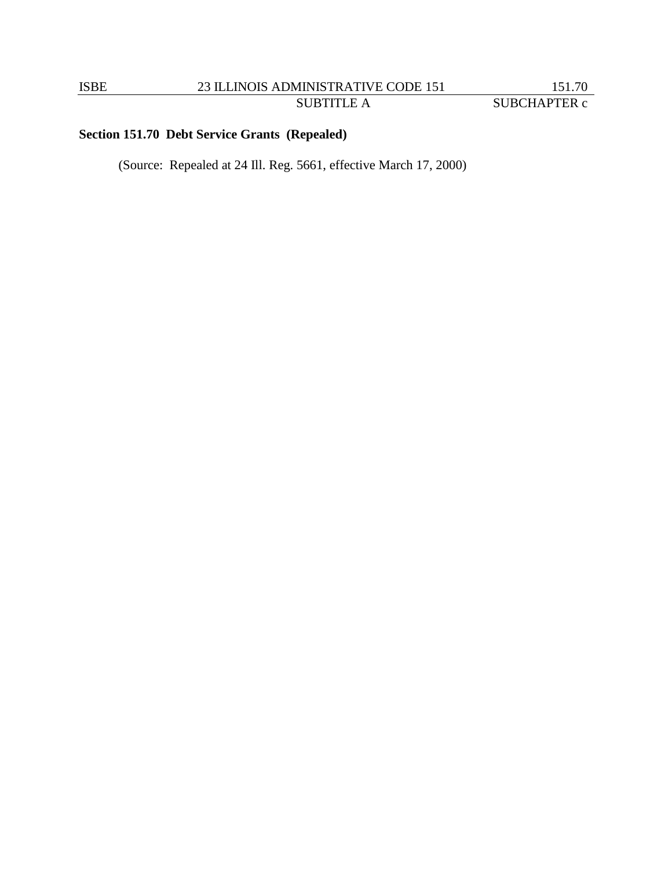# ISBE 23 ILLINOIS ADMINISTRATIVE CODE 151 MINISTRATIVE CODE 151 151.70<br>SUBTITLE A SUBCHAPTER c

# **Section 151.70 Debt Service Grants (Repealed)**

(Source: Repealed at 24 Ill. Reg. 5661, effective March 17, 2000)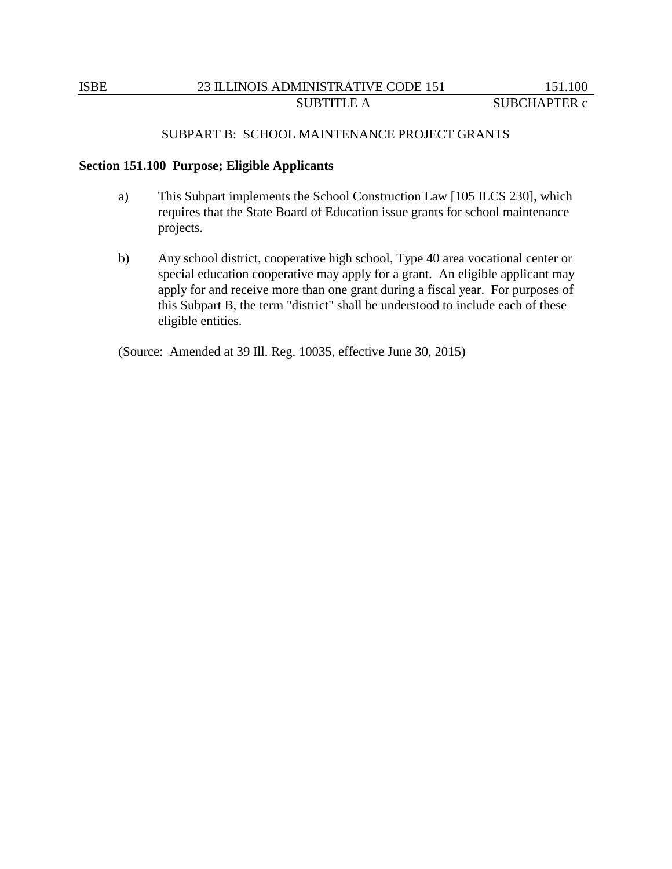### SUBPART B: SCHOOL MAINTENANCE PROJECT GRANTS

#### **Section 151.100 Purpose; Eligible Applicants**

- a) This Subpart implements the School Construction Law [105 ILCS 230], which requires that the State Board of Education issue grants for school maintenance projects.
- b) Any school district, cooperative high school, Type 40 area vocational center or special education cooperative may apply for a grant. An eligible applicant may apply for and receive more than one grant during a fiscal year. For purposes of this Subpart B, the term "district" shall be understood to include each of these eligible entities.

(Source: Amended at 39 Ill. Reg. 10035, effective June 30, 2015)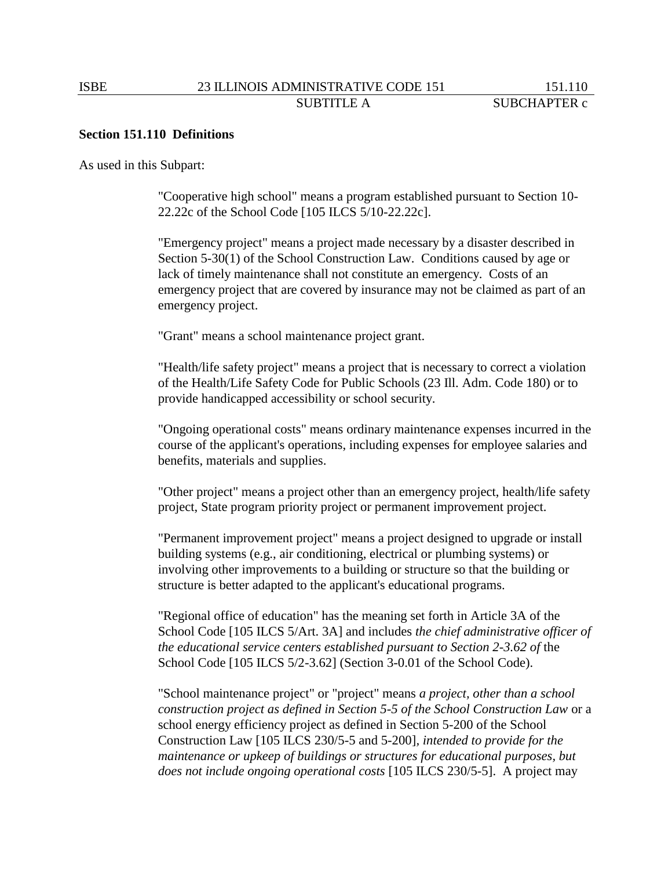### **Section 151.110 Definitions**

As used in this Subpart:

"Cooperative high school" means a program established pursuant to Section 10- 22.22c of the School Code [105 ILCS 5/10-22.22c].

"Emergency project" means a project made necessary by a disaster described in Section 5-30(1) of the School Construction Law. Conditions caused by age or lack of timely maintenance shall not constitute an emergency. Costs of an emergency project that are covered by insurance may not be claimed as part of an emergency project.

"Grant" means a school maintenance project grant.

"Health/life safety project" means a project that is necessary to correct a violation of the Health/Life Safety Code for Public Schools (23 Ill. Adm. Code 180) or to provide handicapped accessibility or school security.

"Ongoing operational costs" means ordinary maintenance expenses incurred in the course of the applicant's operations, including expenses for employee salaries and benefits, materials and supplies.

"Other project" means a project other than an emergency project, health/life safety project, State program priority project or permanent improvement project.

"Permanent improvement project" means a project designed to upgrade or install building systems (e.g., air conditioning, electrical or plumbing systems) or involving other improvements to a building or structure so that the building or structure is better adapted to the applicant's educational programs.

"Regional office of education" has the meaning set forth in Article 3A of the School Code [105 ILCS 5/Art. 3A] and includes *the chief administrative officer of the educational service centers established pursuant to Section 2-3.62 of* the School Code [105 ILCS 5/2-3.62] (Section 3-0.01 of the School Code).

"School maintenance project" or "project" means *a project, other than a school construction project as defined in Section 5-5 of the School Construction Law* or a school energy efficiency project as defined in Section 5-200 of the School Construction Law [105 ILCS 230/5-5 and 5-200]*, intended to provide for the maintenance or upkeep of buildings or structures for educational purposes, but does not include ongoing operational costs* [105 ILCS 230/5-5]. A project may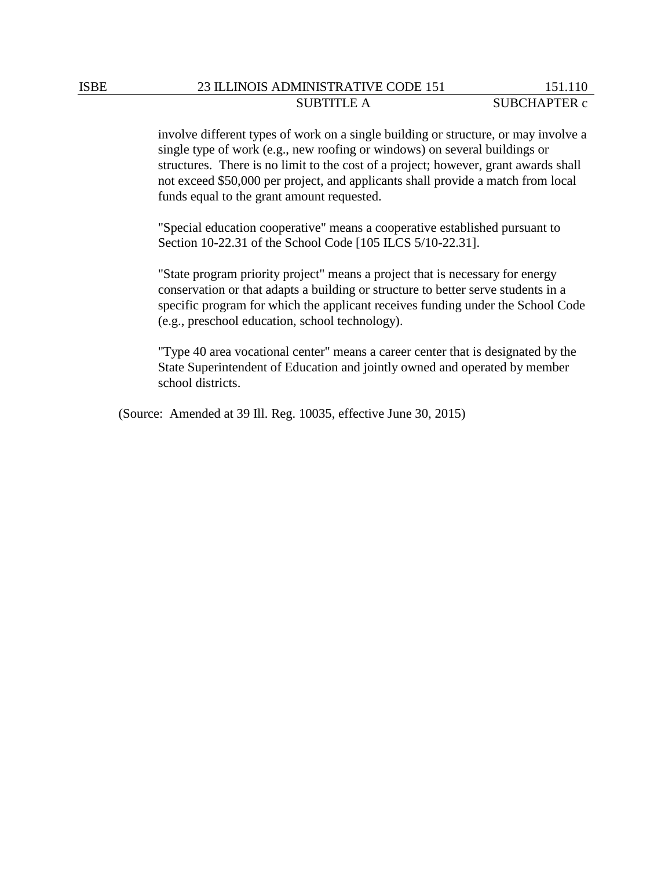involve different types of work on a single building or structure, or may involve a single type of work (e.g., new roofing or windows) on several buildings or structures. There is no limit to the cost of a project; however, grant awards shall not exceed \$50,000 per project, and applicants shall provide a match from local funds equal to the grant amount requested.

"Special education cooperative" means a cooperative established pursuant to Section 10-22.31 of the School Code [105 ILCS 5/10-22.31].

"State program priority project" means a project that is necessary for energy conservation or that adapts a building or structure to better serve students in a specific program for which the applicant receives funding under the School Code (e.g., preschool education, school technology).

"Type 40 area vocational center" means a career center that is designated by the State Superintendent of Education and jointly owned and operated by member school districts.

(Source: Amended at 39 Ill. Reg. 10035, effective June 30, 2015)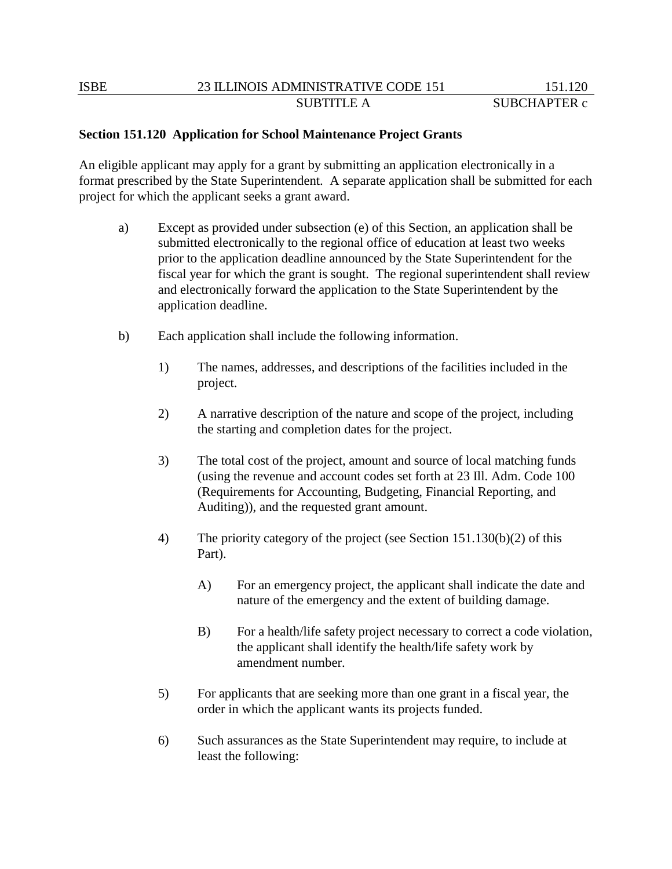## **Section 151.120 Application for School Maintenance Project Grants**

An eligible applicant may apply for a grant by submitting an application electronically in a format prescribed by the State Superintendent. A separate application shall be submitted for each project for which the applicant seeks a grant award.

- a) Except as provided under subsection (e) of this Section, an application shall be submitted electronically to the regional office of education at least two weeks prior to the application deadline announced by the State Superintendent for the fiscal year for which the grant is sought. The regional superintendent shall review and electronically forward the application to the State Superintendent by the application deadline.
- b) Each application shall include the following information.
	- 1) The names, addresses, and descriptions of the facilities included in the project.
	- 2) A narrative description of the nature and scope of the project, including the starting and completion dates for the project.
	- 3) The total cost of the project, amount and source of local matching funds (using the revenue and account codes set forth at 23 Ill. Adm. Code 100 (Requirements for Accounting, Budgeting, Financial Reporting, and Auditing)), and the requested grant amount.
	- 4) The priority category of the project (see Section 151.130(b)(2) of this Part).
		- A) For an emergency project, the applicant shall indicate the date and nature of the emergency and the extent of building damage.
		- B) For a health/life safety project necessary to correct a code violation, the applicant shall identify the health/life safety work by amendment number.
	- 5) For applicants that are seeking more than one grant in a fiscal year, the order in which the applicant wants its projects funded.
	- 6) Such assurances as the State Superintendent may require, to include at least the following: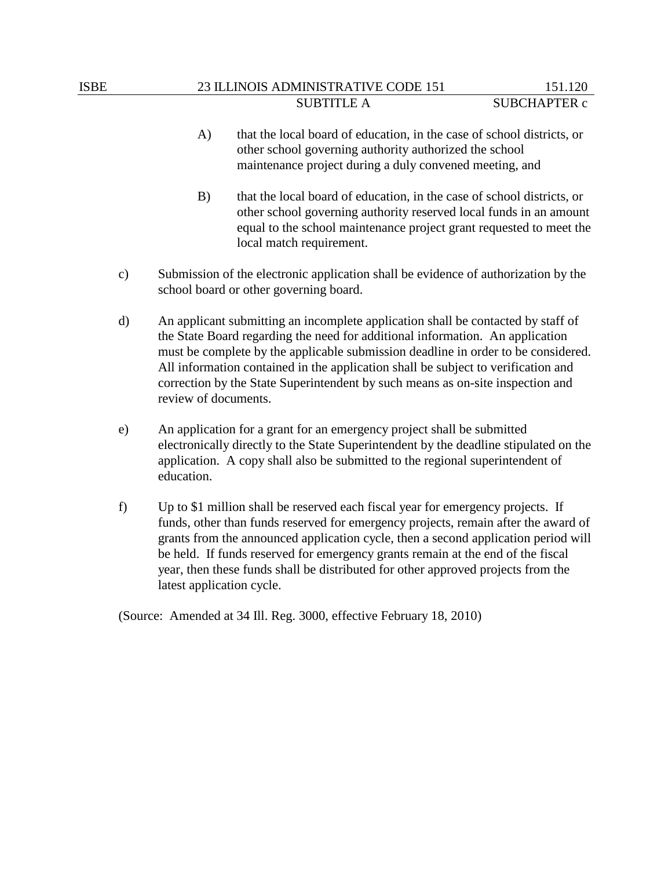## ISBE 23 ILLINOIS ADMINISTRATIVE CODE 151 151.120 SUBTITLE A SUBCHAPTER c

- A) that the local board of education, in the case of school districts, or other school governing authority authorized the school maintenance project during a duly convened meeting, and
- B) that the local board of education, in the case of school districts, or other school governing authority reserved local funds in an amount equal to the school maintenance project grant requested to meet the local match requirement.
- c) Submission of the electronic application shall be evidence of authorization by the school board or other governing board.
- d) An applicant submitting an incomplete application shall be contacted by staff of the State Board regarding the need for additional information. An application must be complete by the applicable submission deadline in order to be considered. All information contained in the application shall be subject to verification and correction by the State Superintendent by such means as on-site inspection and review of documents.
- e) An application for a grant for an emergency project shall be submitted electronically directly to the State Superintendent by the deadline stipulated on the application. A copy shall also be submitted to the regional superintendent of education.
- f) Up to \$1 million shall be reserved each fiscal year for emergency projects. If funds, other than funds reserved for emergency projects, remain after the award of grants from the announced application cycle, then a second application period will be held. If funds reserved for emergency grants remain at the end of the fiscal year, then these funds shall be distributed for other approved projects from the latest application cycle.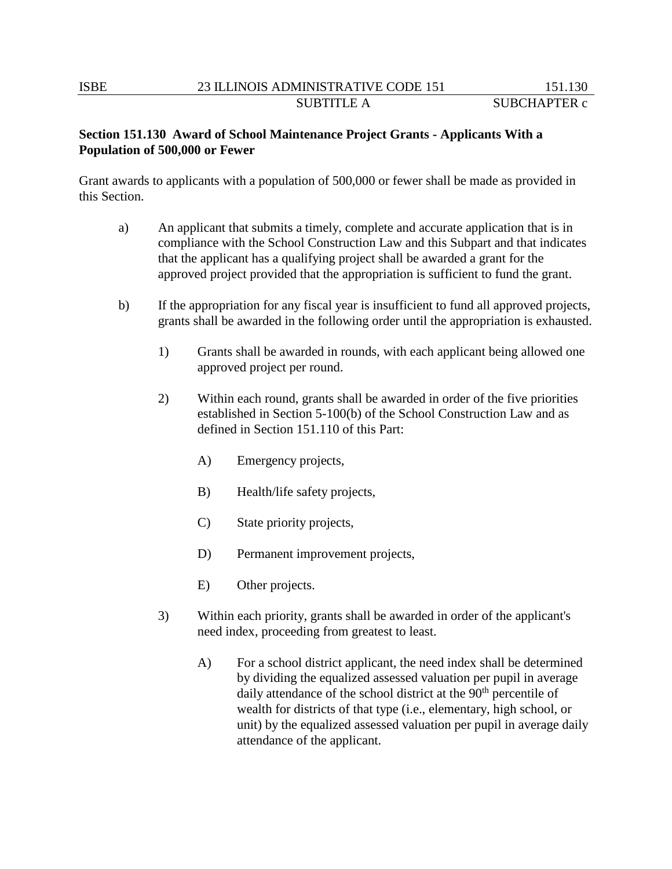# **Section 151.130 Award of School Maintenance Project Grants - Applicants With a Population of 500,000 or Fewer**

Grant awards to applicants with a population of 500,000 or fewer shall be made as provided in this Section.

- a) An applicant that submits a timely, complete and accurate application that is in compliance with the School Construction Law and this Subpart and that indicates that the applicant has a qualifying project shall be awarded a grant for the approved project provided that the appropriation is sufficient to fund the grant.
- b) If the appropriation for any fiscal year is insufficient to fund all approved projects, grants shall be awarded in the following order until the appropriation is exhausted.
	- 1) Grants shall be awarded in rounds, with each applicant being allowed one approved project per round.
	- 2) Within each round, grants shall be awarded in order of the five priorities established in Section 5-100(b) of the School Construction Law and as defined in Section 151.110 of this Part:
		- A) Emergency projects,
		- B) Health/life safety projects,
		- C) State priority projects,
		- D) Permanent improvement projects,
		- E) Other projects.
	- 3) Within each priority, grants shall be awarded in order of the applicant's need index, proceeding from greatest to least.
		- A) For a school district applicant, the need index shall be determined by dividing the equalized assessed valuation per pupil in average daily attendance of the school district at the 90<sup>th</sup> percentile of wealth for districts of that type (i.e., elementary, high school, or unit) by the equalized assessed valuation per pupil in average daily attendance of the applicant.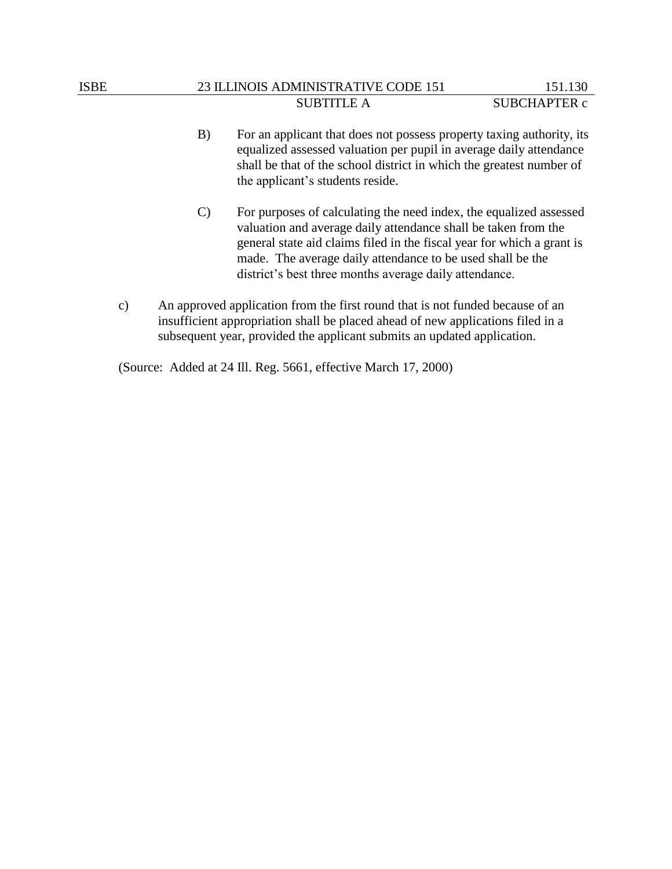## ISBE 23 ILLINOIS ADMINISTRATIVE CODE 151 151.130 SUBTITLE A SUBCHAPTER c

- B) For an applicant that does not possess property taxing authority, its equalized assessed valuation per pupil in average daily attendance shall be that of the school district in which the greatest number of the applicant's students reside.
- C) For purposes of calculating the need index, the equalized assessed valuation and average daily attendance shall be taken from the general state aid claims filed in the fiscal year for which a grant is made. The average daily attendance to be used shall be the district's best three months average daily attendance.
- c) An approved application from the first round that is not funded because of an insufficient appropriation shall be placed ahead of new applications filed in a subsequent year, provided the applicant submits an updated application.

(Source: Added at 24 Ill. Reg. 5661, effective March 17, 2000)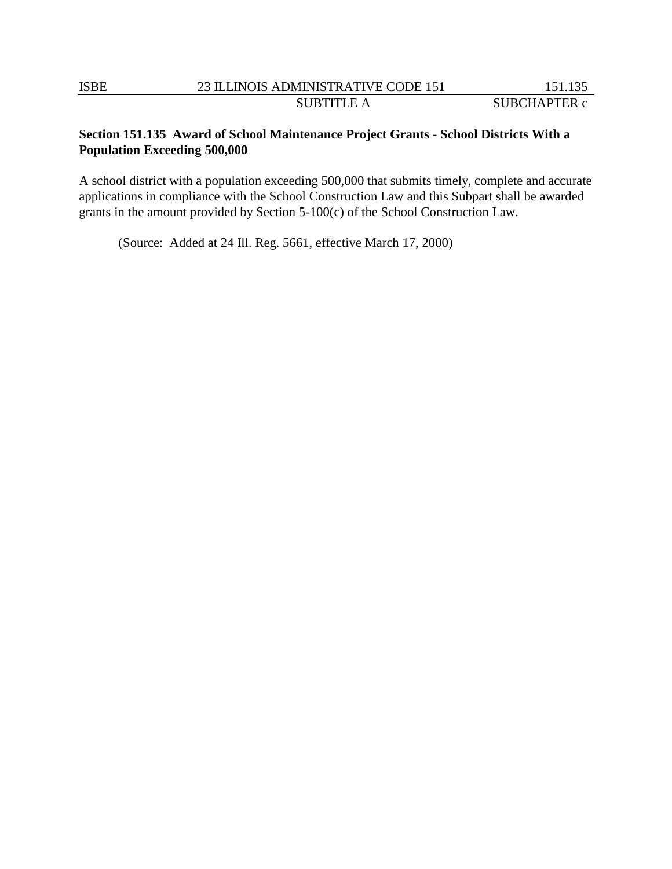## **Section 151.135 Award of School Maintenance Project Grants - School Districts With a Population Exceeding 500,000**

A school district with a population exceeding 500,000 that submits timely, complete and accurate applications in compliance with the School Construction Law and this Subpart shall be awarded grants in the amount provided by Section 5-100(c) of the School Construction Law.

(Source: Added at 24 Ill. Reg. 5661, effective March 17, 2000)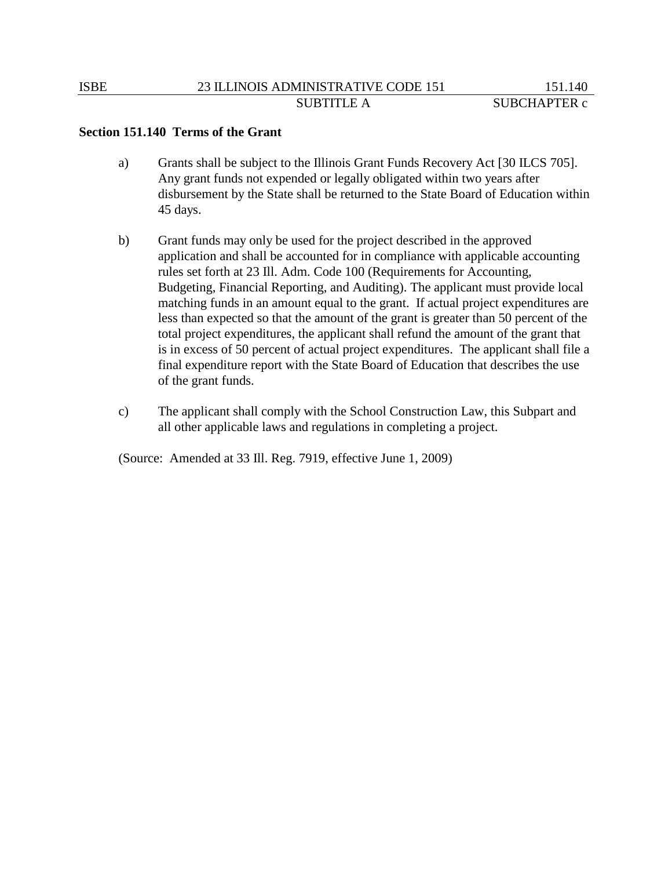### **Section 151.140 Terms of the Grant**

- a) Grants shall be subject to the Illinois Grant Funds Recovery Act [30 ILCS 705]. Any grant funds not expended or legally obligated within two years after disbursement by the State shall be returned to the State Board of Education within 45 days.
- b) Grant funds may only be used for the project described in the approved application and shall be accounted for in compliance with applicable accounting rules set forth at 23 Ill. Adm. Code 100 (Requirements for Accounting, Budgeting, Financial Reporting, and Auditing). The applicant must provide local matching funds in an amount equal to the grant. If actual project expenditures are less than expected so that the amount of the grant is greater than 50 percent of the total project expenditures, the applicant shall refund the amount of the grant that is in excess of 50 percent of actual project expenditures. The applicant shall file a final expenditure report with the State Board of Education that describes the use of the grant funds.
- c) The applicant shall comply with the School Construction Law, this Subpart and all other applicable laws and regulations in completing a project.

(Source: Amended at 33 Ill. Reg. 7919, effective June 1, 2009)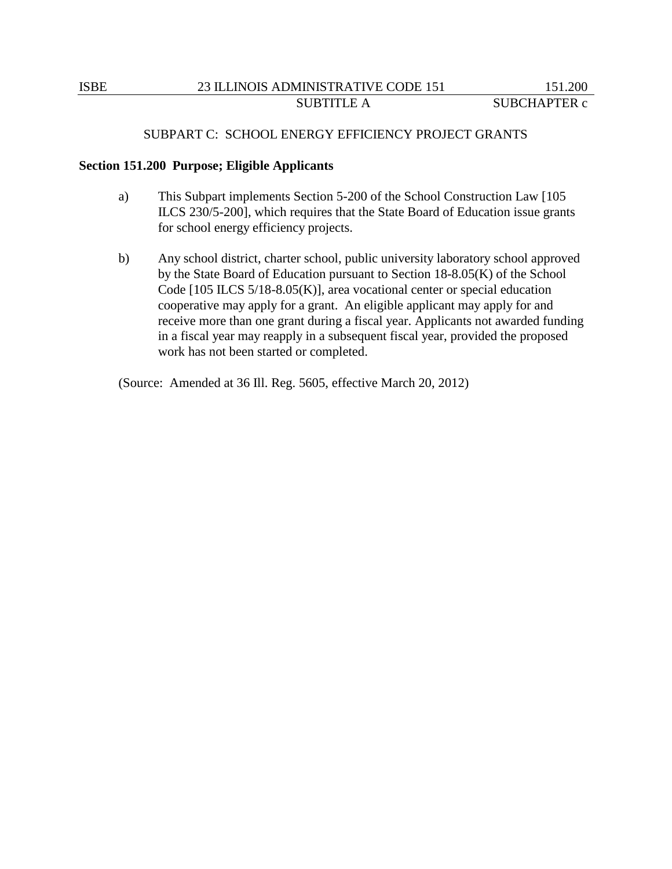### SUBPART C: SCHOOL ENERGY EFFICIENCY PROJECT GRANTS

#### **Section 151.200 Purpose; Eligible Applicants**

- a) This Subpart implements Section 5-200 of the School Construction Law [105 ILCS 230/5-200], which requires that the State Board of Education issue grants for school energy efficiency projects.
- b) Any school district, charter school, public university laboratory school approved by the State Board of Education pursuant to Section 18-8.05(K) of the School Code [105 ILCS 5/18-8.05(K)], area vocational center or special education cooperative may apply for a grant. An eligible applicant may apply for and receive more than one grant during a fiscal year. Applicants not awarded funding in a fiscal year may reapply in a subsequent fiscal year, provided the proposed work has not been started or completed.

(Source: Amended at 36 Ill. Reg. 5605, effective March 20, 2012)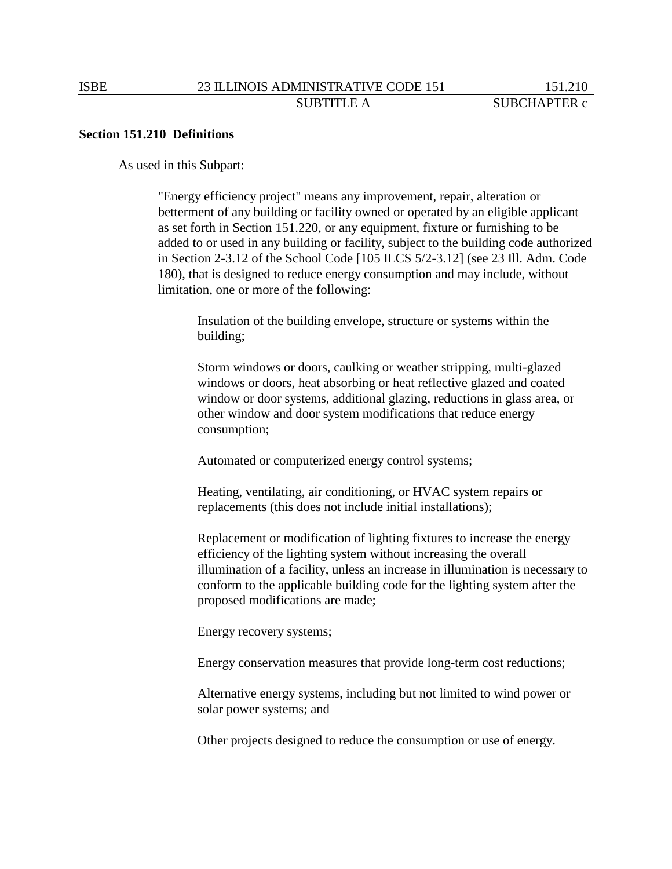### **Section 151.210 Definitions**

As used in this Subpart:

"Energy efficiency project" means any improvement, repair, alteration or betterment of any building or facility owned or operated by an eligible applicant as set forth in Section 151.220, or any equipment, fixture or furnishing to be added to or used in any building or facility, subject to the building code authorized in Section 2-3.12 of the School Code [105 ILCS 5/2-3.12] (see 23 Ill. Adm. Code 180), that is designed to reduce energy consumption and may include, without limitation, one or more of the following:

Insulation of the building envelope, structure or systems within the building;

Storm windows or doors, caulking or weather stripping, multi-glazed windows or doors, heat absorbing or heat reflective glazed and coated window or door systems, additional glazing, reductions in glass area, or other window and door system modifications that reduce energy consumption;

Automated or computerized energy control systems;

Heating, ventilating, air conditioning, or HVAC system repairs or replacements (this does not include initial installations);

Replacement or modification of lighting fixtures to increase the energy efficiency of the lighting system without increasing the overall illumination of a facility, unless an increase in illumination is necessary to conform to the applicable building code for the lighting system after the proposed modifications are made;

Energy recovery systems;

Energy conservation measures that provide long-term cost reductions;

Alternative energy systems, including but not limited to wind power or solar power systems; and

Other projects designed to reduce the consumption or use of energy.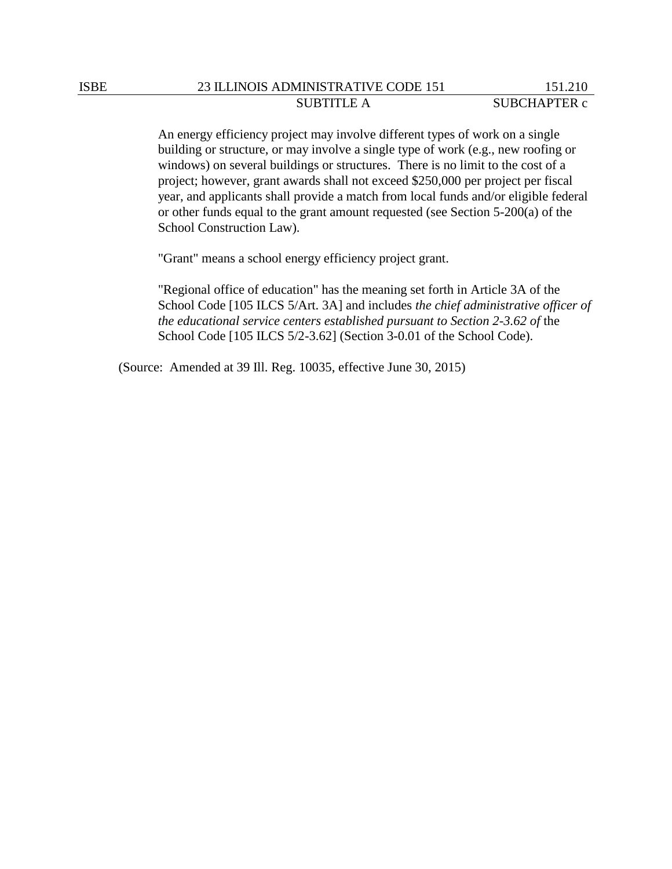An energy efficiency project may involve different types of work on a single building or structure, or may involve a single type of work (e.g., new roofing or windows) on several buildings or structures. There is no limit to the cost of a project; however, grant awards shall not exceed \$250,000 per project per fiscal year, and applicants shall provide a match from local funds and/or eligible federal or other funds equal to the grant amount requested (see Section 5-200(a) of the School Construction Law).

"Grant" means a school energy efficiency project grant.

"Regional office of education" has the meaning set forth in Article 3A of the School Code [105 ILCS 5/Art. 3A] and includes *the chief administrative officer of the educational service centers established pursuant to Section 2-3.62 of* the School Code [105 ILCS 5/2-3.62] (Section 3-0.01 of the School Code).

(Source: Amended at 39 Ill. Reg. 10035, effective June 30, 2015)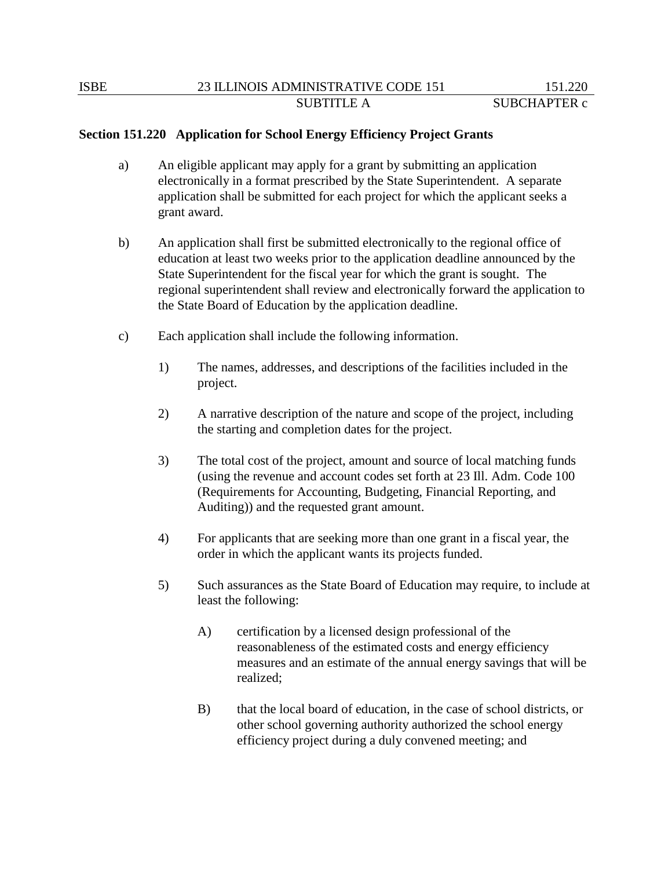### **Section 151.220 Application for School Energy Efficiency Project Grants**

- a) An eligible applicant may apply for a grant by submitting an application electronically in a format prescribed by the State Superintendent. A separate application shall be submitted for each project for which the applicant seeks a grant award.
- b) An application shall first be submitted electronically to the regional office of education at least two weeks prior to the application deadline announced by the State Superintendent for the fiscal year for which the grant is sought. The regional superintendent shall review and electronically forward the application to the State Board of Education by the application deadline.
- c) Each application shall include the following information.
	- 1) The names, addresses, and descriptions of the facilities included in the project.
	- 2) A narrative description of the nature and scope of the project, including the starting and completion dates for the project.
	- 3) The total cost of the project, amount and source of local matching funds (using the revenue and account codes set forth at 23 Ill. Adm. Code 100 (Requirements for Accounting, Budgeting, Financial Reporting, and Auditing)) and the requested grant amount.
	- 4) For applicants that are seeking more than one grant in a fiscal year, the order in which the applicant wants its projects funded.
	- 5) Such assurances as the State Board of Education may require, to include at least the following:
		- A) certification by a licensed design professional of the reasonableness of the estimated costs and energy efficiency measures and an estimate of the annual energy savings that will be realized;
		- B) that the local board of education, in the case of school districts, or other school governing authority authorized the school energy efficiency project during a duly convened meeting; and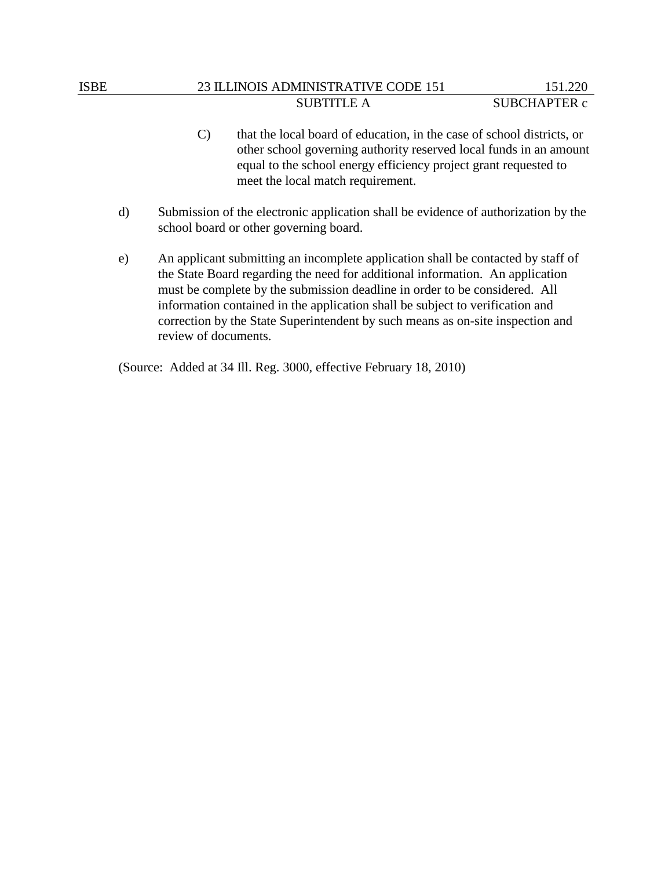## ISBE 23 ILLINOIS ADMINISTRATIVE CODE 151 151.220 SUBTITLE A SUBCHAPTER c

- C) that the local board of education, in the case of school districts, or other school governing authority reserved local funds in an amount equal to the school energy efficiency project grant requested to meet the local match requirement.
- d) Submission of the electronic application shall be evidence of authorization by the school board or other governing board.
- e) An applicant submitting an incomplete application shall be contacted by staff of the State Board regarding the need for additional information. An application must be complete by the submission deadline in order to be considered. All information contained in the application shall be subject to verification and correction by the State Superintendent by such means as on-site inspection and review of documents.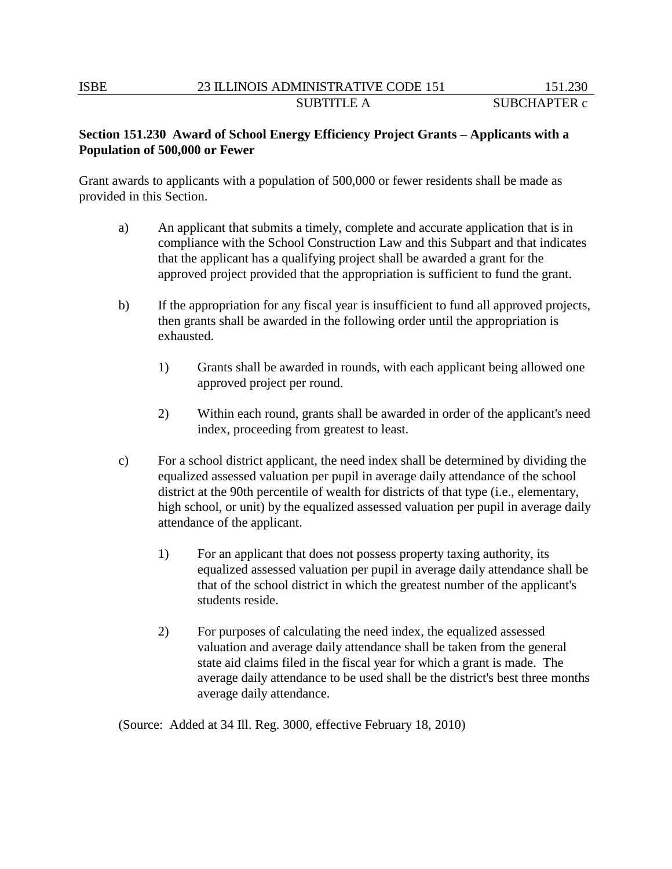# **Section 151.230 Award of School Energy Efficiency Project Grants – Applicants with a Population of 500,000 or Fewer**

Grant awards to applicants with a population of 500,000 or fewer residents shall be made as provided in this Section.

- a) An applicant that submits a timely, complete and accurate application that is in compliance with the School Construction Law and this Subpart and that indicates that the applicant has a qualifying project shall be awarded a grant for the approved project provided that the appropriation is sufficient to fund the grant.
- b) If the appropriation for any fiscal year is insufficient to fund all approved projects, then grants shall be awarded in the following order until the appropriation is exhausted.
	- 1) Grants shall be awarded in rounds, with each applicant being allowed one approved project per round.
	- 2) Within each round, grants shall be awarded in order of the applicant's need index, proceeding from greatest to least.
- c) For a school district applicant, the need index shall be determined by dividing the equalized assessed valuation per pupil in average daily attendance of the school district at the 90th percentile of wealth for districts of that type (i.e., elementary, high school, or unit) by the equalized assessed valuation per pupil in average daily attendance of the applicant.
	- 1) For an applicant that does not possess property taxing authority, its equalized assessed valuation per pupil in average daily attendance shall be that of the school district in which the greatest number of the applicant's students reside.
	- 2) For purposes of calculating the need index, the equalized assessed valuation and average daily attendance shall be taken from the general state aid claims filed in the fiscal year for which a grant is made. The average daily attendance to be used shall be the district's best three months average daily attendance.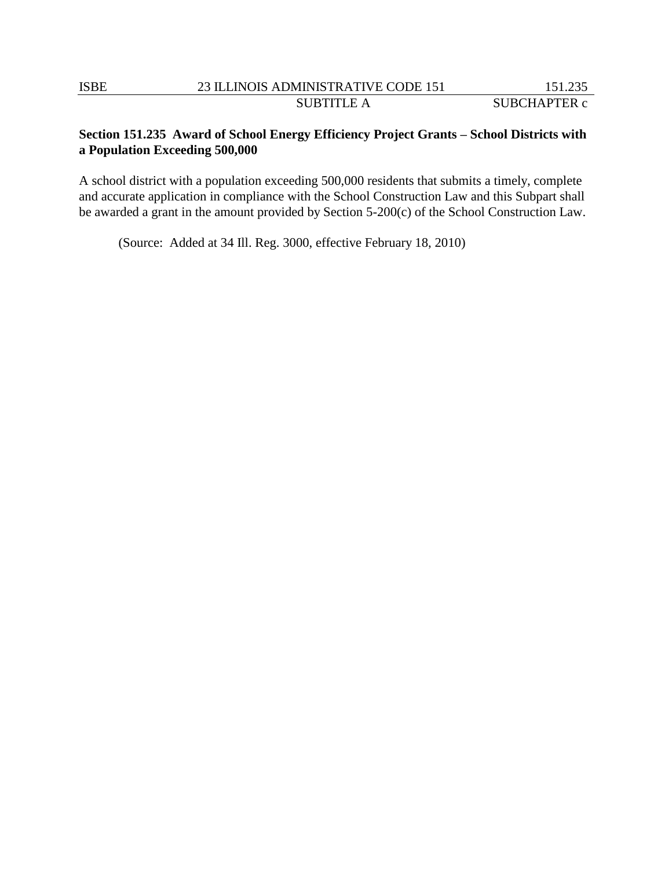# **Section 151.235 Award of School Energy Efficiency Project Grants – School Districts with a Population Exceeding 500,000**

A school district with a population exceeding 500,000 residents that submits a timely, complete and accurate application in compliance with the School Construction Law and this Subpart shall be awarded a grant in the amount provided by Section 5-200(c) of the School Construction Law.